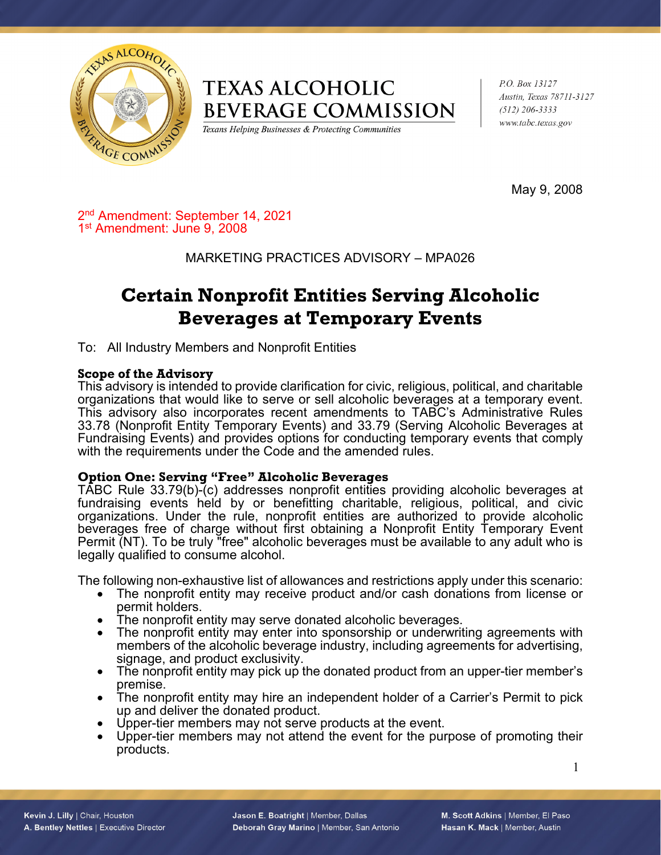

## **TEXAS ALCOHOLIC BEVERAGE COMMISSION**

Texans Helping Businesses & Protecting Communities

P.O. Box 13127 Austin, Texas 78711-3127  $(512)$  206-3333 www.tabc.texas.gov

May 9, 2008

2nd Amendment: September 14, 2021 1st Amendment: June 9, 2008

### MARKETING PRACTICES ADVISORY – MPA026

# **Certain Nonprofit Entities Serving Alcoholic Beverages at Temporary Events**

To: All Industry Members and Nonprofit Entities

#### **Scope of the Advisory**

This advisory is intended to provide clarification for civic, religious, political, and charitable organizations that would like to serve or sell alcoholic beverages at a temporary event. This advisory also incorporates recent amendments to TABC's Administrative Rules 33.78 (Nonprofit Entity Temporary Events) and 33.79 (Serving Alcoholic Beverages at Fundraising Events) and provides options for conducting temporary events that comply with the requirements under the Code and the amended rules.

#### **Option One: Serving "Free" Alcoholic Beverages**

TABC Rule 33.79(b)-(c) addresses nonprofit entities providing alcoholic beverages at fundraising events held by or benefitting charitable, religious, political, and civic organizations. Under the rule, nonprofit entities are authorized to provide alcoholic beverages free of charge without first obtaining a Nonprofit Entity Temporary Event Permit (NT). To be truly "free" alcoholic beverages must be available to any adult who is legally qualified to consume alcohol.

The following non-exhaustive list of allowances and restrictions apply under this scenario:

- The nonprofit entity may receive product and/or cash donations from license or permit holders.
- The nonprofit entity may serve donated alcoholic beverages.
- The nonprofit entity may enter into sponsorship or underwriting agreements with members of the alcoholic beverage industry, including agreements for advertising, signage, and product exclusivity.
- The nonprofit entity may pick up the donated product from an upper-tier member's premise.
- The nonprofit entity may hire an independent holder of a Carrier's Permit to pick up and deliver the donated product.
- Upper-tier members may not serve products at the event.
- Upper-tier members may not attend the event for the purpose of promoting their products.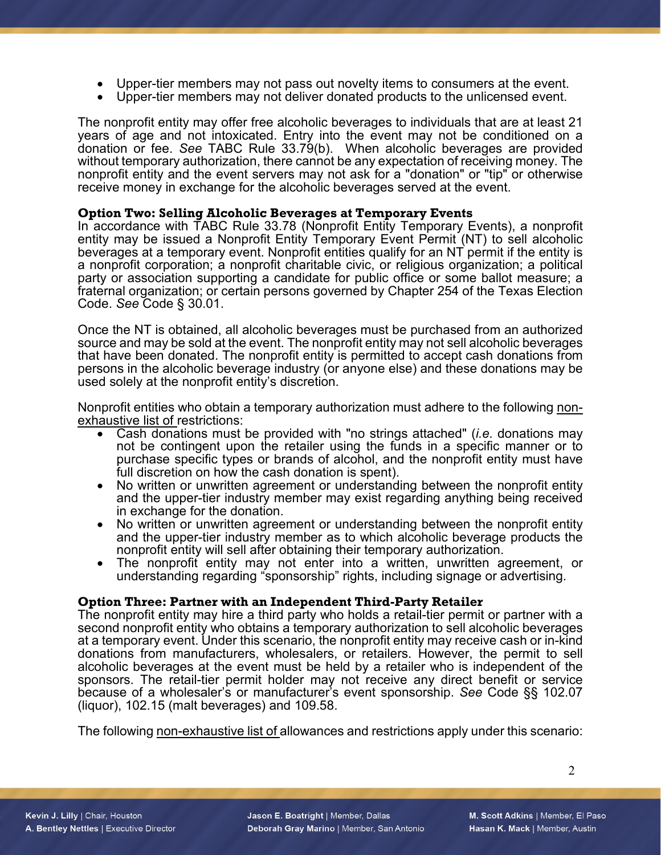- Upper-tier members may not pass out novelty items to consumers at the event.
- Upper-tier members may not deliver donated products to the unlicensed event.

The nonprofit entity may offer free alcoholic beverages to individuals that are at least 21 years of age and not intoxicated. Entry into the event may not be conditioned on a donation or fee. *See* TABC Rule 33.79(b). When alcoholic beverages are provided without temporary authorization, there cannot be any expectation of receiving money. The nonprofit entity and the event servers may not ask for a "donation" or "tip" or otherwise receive money in exchange for the alcoholic beverages served at the event.

#### **Option Two: Selling Alcoholic Beverages at Temporary Events**

In accordance with TABC Rule 33.78 (Nonprofit Entity Temporary Events), a nonprofit entity may be issued a Nonprofit Entity Temporary Event Permit (NT) to sell alcoholic beverages at a temporary event. Nonprofit entities qualify for an NT permit if the entity is a nonprofit corporation; a nonprofit charitable civic, or religious organization; a political party or association supporting a candidate for public office or some ballot measure; a fraternal organization; or certain persons governed by Chapter 254 of the Texas Election Code. *See* Code § 30.01.

Once the NT is obtained, all alcoholic beverages must be purchased from an authorized source and may be sold at the event. The nonprofit entity may not sell alcoholic beverages that have been donated. The nonprofit entity is permitted to accept cash donations from persons in the alcoholic beverage industry (or anyone else) and these donations may be used solely at the nonprofit entity's discretion.

Nonprofit entities who obtain a temporary authorization must adhere to the following <u>non-exhaustive list of r</u>estrictions:<br>● Cash donations must be provided with "no strings attached" (*i.e.* donations may

- not be contingent upon the retailer using the funds in a specific manner or to purchase specific types or brands of alcohol, and the nonprofit entity must have
- full discretion on how the cash donation is spent). No written or unwritten agreement or understanding between the nonprofit entity and the upper-tier industry member may exist regarding anything being received
- No written or unwritten agreement or understanding between the nonprofit entity and the upper-tier industry member as to which alcoholic beverage products the
- nonprofit entity will sell after obtaining their temporary authorization. The nonprofit entity may not enter into a written, unwritten agreement, or understanding regarding "sponsorship" rights, including signage or advertising.

#### **Option Three: Partner with an Independent Third-Party Retailer**

The nonprofit entity may hire a third party who holds a retail-tier permit or partner with a second nonprofit entity who obtains a temporary authorization to sell alcoholic beverages at a temporary event. Under this scenario, the nonprofit entity may receive cash or in-kind donations from manufacturers, wholesalers, or retailers. However, the permit to sell alcoholic beverages at the event must be held by a retailer who is independent of the sponsors. The retail-tier permit holder may not receive any direct benefit or service because of a wholesaler's or manufacturer's event sponsorship. *See* Code §§ 102.07 (liquor), 102.15 (malt beverages) and 109.58.

The following non-exhaustive list of allowances and restrictions apply under this scenario: